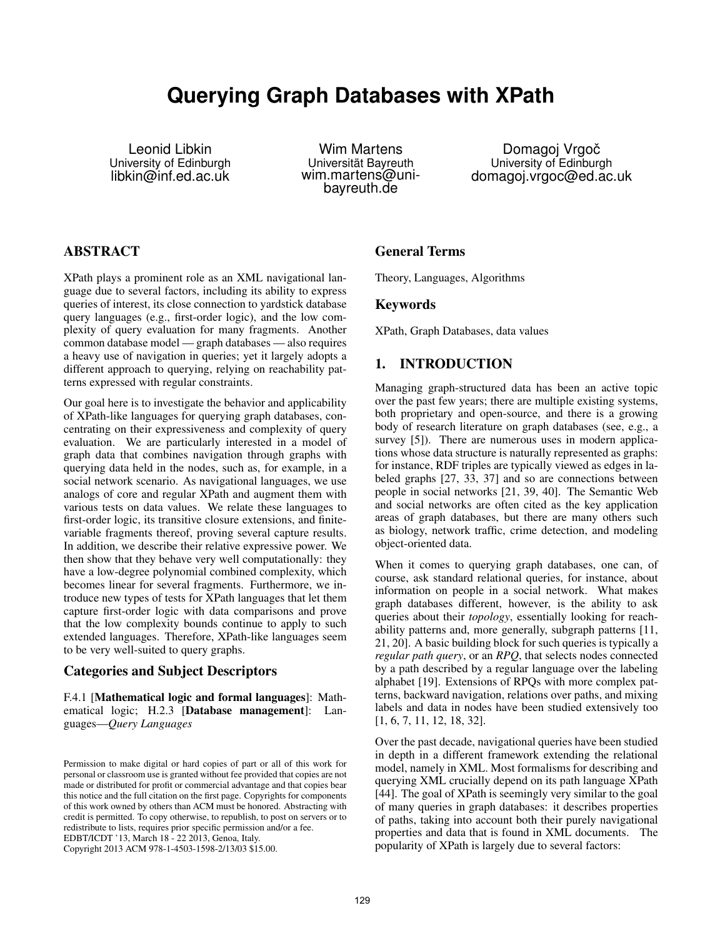# **Querying Graph Databases with XPath**

Leonid Libkin University of Edinburgh libkin@inf.ed.ac.uk

Wim Martens Universität Bayreuth wim.martens@unibayreuth.de

Domagoj Vrgoč University of Edinburgh domagoj.vrgoc@ed.ac.uk

# **ABSTRACT**

XPath plays a prominent role as an XML navigational language due to several factors, including its ability to express queries of interest, its close connection to yardstick database query languages (e.g., first-order logic), and the low complexity of query evaluation for many fragments. Another common database model — graph databases — also requires a heavy use of navigation in queries; yet it largely adopts a different approach to querying, relying on reachability patterns expressed with regular constraints.

Our goal here is to investigate the behavior and applicability of XPath-like languages for querying graph databases, concentrating on their expressiveness and complexity of query evaluation. We are particularly interested in a model of graph data that combines navigation through graphs with querying data held in the nodes, such as, for example, in a social network scenario. As navigational languages, we use analogs of core and regular XPath and augment them with various tests on data values. We relate these languages to first-order logic, its transitive closure extensions, and finitevariable fragments thereof, proving several capture results. In addition, we describe their relative expressive power. We then show that they behave very well computationally: they have a low-degree polynomial combined complexity, which becomes linear for several fragments. Furthermore, we introduce new types of tests for XPath languages that let them capture first-order logic with data comparisons and prove that the low complexity bounds continue to apply to such extended languages. Therefore, XPath-like languages seem to be very well-suited to query graphs.

# Categories and Subject Descriptors

F.4.1 [Mathematical logic and formal languages]: Mathematical logic; H.2.3 [Database management]: Languages—*Query Languages*

Copyright 2013 ACM 978-1-4503-1598-2/13/03 \$15.00.

### General Terms

Theory, Languages, Algorithms

### Keywords

XPath, Graph Databases, data values

# 1. INTRODUCTION

Managing graph-structured data has been an active topic over the past few years; there are multiple existing systems, both proprietary and open-source, and there is a growing body of research literature on graph databases (see, e.g., a survey [5]). There are numerous uses in modern applications whose data structure is naturally represented as graphs: for instance, RDF triples are typically viewed as edges in labeled graphs [27, 33, 37] and so are connections between people in social networks [21, 39, 40]. The Semantic Web and social networks are often cited as the key application areas of graph databases, but there are many others such as biology, network traffic, crime detection, and modeling object-oriented data.

When it comes to querying graph databases, one can, of course, ask standard relational queries, for instance, about information on people in a social network. What makes graph databases different, however, is the ability to ask queries about their *topology*, essentially looking for reachability patterns and, more generally, subgraph patterns [11, 21, 20]. A basic building block for such queries is typically a *regular path query*, or an *RPQ*, that selects nodes connected by a path described by a regular language over the labeling alphabet [19]. Extensions of RPQs with more complex patterns, backward navigation, relations over paths, and mixing labels and data in nodes have been studied extensively too [1, 6, 7, 11, 12, 18, 32].

Over the past decade, navigational queries have been studied in depth in a different framework extending the relational model, namely in XML. Most formalisms for describing and querying XML crucially depend on its path language XPath [44]. The goal of XPath is seemingly very similar to the goal of many queries in graph databases: it describes properties of paths, taking into account both their purely navigational properties and data that is found in XML documents. The popularity of XPath is largely due to several factors:

Permission to make digital or hard copies of part or all of this work for personal or classroom use is granted without fee provided that copies are not made or distributed for profit or commercial advantage and that copies bear this notice and the full citation on the first page. Copyrights for components of this work owned by others than ACM must be honored. Abstracting with credit is permitted. To copy otherwise, to republish, to post on servers or to redistribute to lists, requires prior specific permission and/or a fee. EDBT/ICDT '13, March 18 - 22 2013, Genoa, Italy.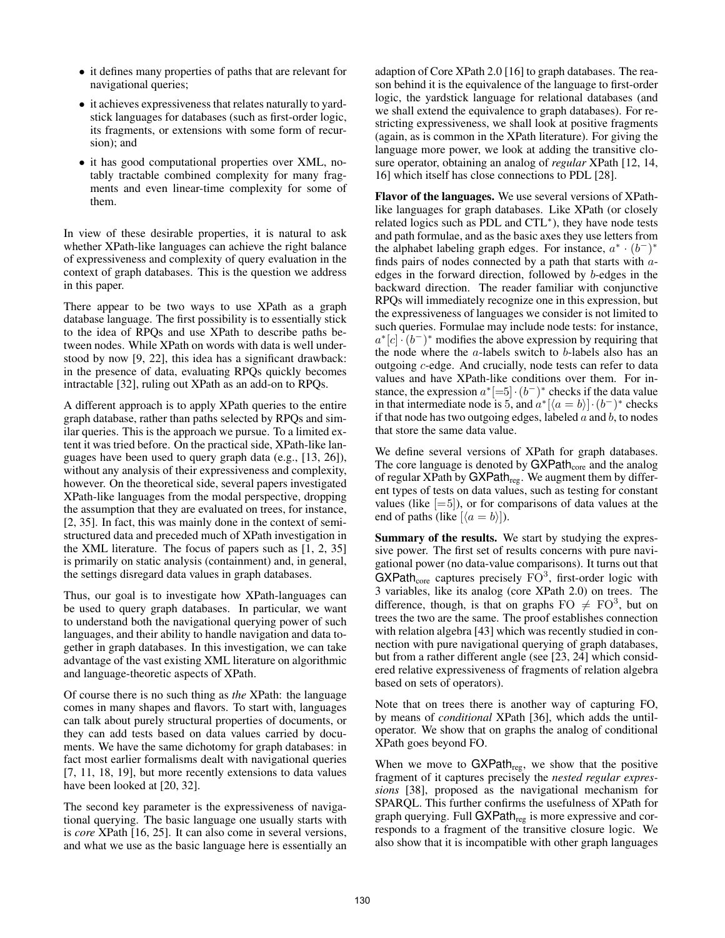- it defines many properties of paths that are relevant for navigational queries;
- it achieves expressiveness that relates naturally to yardstick languages for databases (such as first-order logic, its fragments, or extensions with some form of recursion); and
- it has good computational properties over XML, notably tractable combined complexity for many fragments and even linear-time complexity for some of them.

In view of these desirable properties, it is natural to ask whether XPath-like languages can achieve the right balance of expressiveness and complexity of query evaluation in the context of graph databases. This is the question we address in this paper.

There appear to be two ways to use XPath as a graph database language. The first possibility is to essentially stick to the idea of RPQs and use XPath to describe paths between nodes. While XPath on words with data is well understood by now [9, 22], this idea has a significant drawback: in the presence of data, evaluating RPQs quickly becomes intractable [32], ruling out XPath as an add-on to RPQs.

A different approach is to apply XPath queries to the entire graph database, rather than paths selected by RPQs and similar queries. This is the approach we pursue. To a limited extent it was tried before. On the practical side, XPath-like languages have been used to query graph data (e.g., [13, 26]), without any analysis of their expressiveness and complexity, however. On the theoretical side, several papers investigated XPath-like languages from the modal perspective, dropping the assumption that they are evaluated on trees, for instance, [2, 35]. In fact, this was mainly done in the context of semistructured data and preceded much of XPath investigation in the XML literature. The focus of papers such as [1, 2, 35] is primarily on static analysis (containment) and, in general, the settings disregard data values in graph databases.

Thus, our goal is to investigate how XPath-languages can be used to query graph databases. In particular, we want to understand both the navigational querying power of such languages, and their ability to handle navigation and data together in graph databases. In this investigation, we can take advantage of the vast existing XML literature on algorithmic and language-theoretic aspects of XPath.

Of course there is no such thing as *the* XPath: the language comes in many shapes and flavors. To start with, languages can talk about purely structural properties of documents, or they can add tests based on data values carried by documents. We have the same dichotomy for graph databases: in fact most earlier formalisms dealt with navigational queries [7, 11, 18, 19], but more recently extensions to data values have been looked at [20, 32].

The second key parameter is the expressiveness of navigational querying. The basic language one usually starts with is *core* XPath [16, 25]. It can also come in several versions, and what we use as the basic language here is essentially an adaption of Core XPath 2.0 [16] to graph databases. The reason behind it is the equivalence of the language to first-order logic, the yardstick language for relational databases (and we shall extend the equivalence to graph databases). For restricting expressiveness, we shall look at positive fragments (again, as is common in the XPath literature). For giving the language more power, we look at adding the transitive closure operator, obtaining an analog of *regular* XPath [12, 14, 16] which itself has close connections to PDL [28].

Flavor of the languages. We use several versions of XPathlike languages for graph databases. Like XPath (or closely related logics such as PDL and CTL<sup>∗</sup> ), they have node tests and path formulae, and as the basic axes they use letters from the alphabet labeling graph edges. For instance,  $a^* \cdot (b^-)^*$ finds pairs of nodes connected by a path that starts with  $a$ edges in the forward direction, followed by b-edges in the backward direction. The reader familiar with conjunctive RPQs will immediately recognize one in this expression, but the expressiveness of languages we consider is not limited to such queries. Formulae may include node tests: for instance,  $a^*[c] \cdot (b^-)^*$  modifies the above expression by requiring that the node where the  $a$ -labels switch to  $b$ -labels also has an outgoing c-edge. And crucially, node tests can refer to data values and have XPath-like conditions over them. For instance, the expression  $a^*$ [=5] $\cdot (b^-)^*$  checks if the data value in that intermediate node is 5, and  $a^*[\langle a = b \rangle] \cdot (b^-)^*$  checks if that node has two outgoing edges, labeled  $a$  and  $b$ , to nodes that store the same data value.

We define several versions of XPath for graph databases. The core language is denoted by  $GXPath_{core}$  and the analog of regular XPath by  $GXPath_{reg}$ . We augment them by different types of tests on data values, such as testing for constant values (like  $[=5]$ ), or for comparisons of data values at the end of paths (like  $\vert \langle a = b \rangle \vert$ ).

Summary of the results. We start by studying the expressive power. The first set of results concerns with pure navigational power (no data-value comparisons). It turns out that  $GXPath<sub>core</sub> captures precisely  $FO^3$ , first-order logic with$ 3 variables, like its analog (core XPath 2.0) on trees. The difference, though, is that on graphs  $FO \neq FO^3$ , but on trees the two are the same. The proof establishes connection with relation algebra [43] which was recently studied in connection with pure navigational querying of graph databases, but from a rather different angle (see [23, 24] which considered relative expressiveness of fragments of relation algebra based on sets of operators).

Note that on trees there is another way of capturing FO, by means of *conditional* XPath [36], which adds the untiloperator. We show that on graphs the analog of conditional XPath goes beyond FO.

When we move to  $GXPath_{reg}$ , we show that the positive fragment of it captures precisely the *nested regular expressions* [38], proposed as the navigational mechanism for SPARQL. This further confirms the usefulness of XPath for graph querying. Full GXPath<sub>reg</sub> is more expressive and corresponds to a fragment of the transitive closure logic. We also show that it is incompatible with other graph languages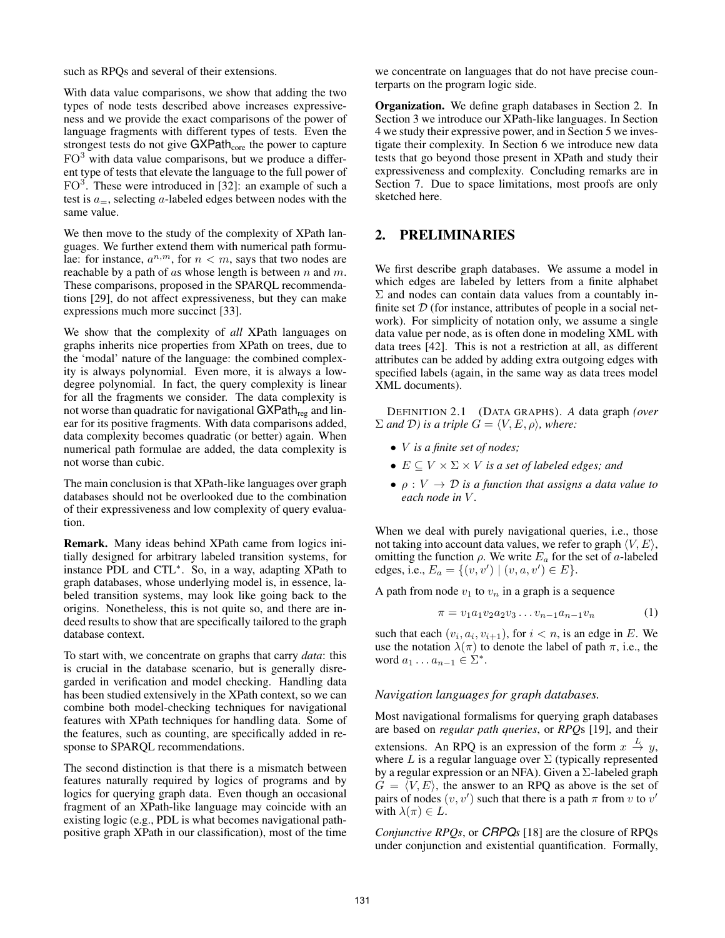such as RPQs and several of their extensions.

With data value comparisons, we show that adding the two types of node tests described above increases expressiveness and we provide the exact comparisons of the power of language fragments with different types of tests. Even the strongest tests do not give GXPath<sub>core</sub> the power to capture  $FO<sup>3</sup>$  with data value comparisons, but we produce a different type of tests that elevate the language to the full power of  $FO<sup>3</sup>$ . These were introduced in [32]: an example of such a test is  $a_{-}$ , selecting a-labeled edges between nodes with the same value.

We then move to the study of the complexity of XPath languages. We further extend them with numerical path formulae: for instance,  $a^{n,m}$ , for  $n < m$ , says that two nodes are reachable by a path of as whose length is between  $n$  and  $m$ . These comparisons, proposed in the SPARQL recommendations [29], do not affect expressiveness, but they can make expressions much more succinct [33].

We show that the complexity of *all* XPath languages on graphs inherits nice properties from XPath on trees, due to the 'modal' nature of the language: the combined complexity is always polynomial. Even more, it is always a lowdegree polynomial. In fact, the query complexity is linear for all the fragments we consider. The data complexity is not worse than quadratic for navigational  $GXPath_{reg}$  and linear for its positive fragments. With data comparisons added, data complexity becomes quadratic (or better) again. When numerical path formulae are added, the data complexity is not worse than cubic.

The main conclusion is that XPath-like languages over graph databases should not be overlooked due to the combination of their expressiveness and low complexity of query evaluation.

Remark. Many ideas behind XPath came from logics initially designed for arbitrary labeled transition systems, for instance PDL and CTL<sup>∗</sup> . So, in a way, adapting XPath to graph databases, whose underlying model is, in essence, labeled transition systems, may look like going back to the origins. Nonetheless, this is not quite so, and there are indeed results to show that are specifically tailored to the graph database context.

To start with, we concentrate on graphs that carry *data*: this is crucial in the database scenario, but is generally disregarded in verification and model checking. Handling data has been studied extensively in the XPath context, so we can combine both model-checking techniques for navigational features with XPath techniques for handling data. Some of the features, such as counting, are specifically added in response to SPARQL recommendations.

The second distinction is that there is a mismatch between features naturally required by logics of programs and by logics for querying graph data. Even though an occasional fragment of an XPath-like language may coincide with an existing logic (e.g., PDL is what becomes navigational pathpositive graph XPath in our classification), most of the time

we concentrate on languages that do not have precise counterparts on the program logic side.

Organization. We define graph databases in Section 2. In Section 3 we introduce our XPath-like languages. In Section 4 we study their expressive power, and in Section 5 we investigate their complexity. In Section 6 we introduce new data tests that go beyond those present in XPath and study their expressiveness and complexity. Concluding remarks are in Section 7. Due to space limitations, most proofs are only sketched here.

# 2. PRELIMINARIES

We first describe graph databases. We assume a model in which edges are labeled by letters from a finite alphabet  $\Sigma$  and nodes can contain data values from a countably infinite set  $D$  (for instance, attributes of people in a social network). For simplicity of notation only, we assume a single data value per node, as is often done in modeling XML with data trees [42]. This is not a restriction at all, as different attributes can be added by adding extra outgoing edges with specified labels (again, in the same way as data trees model XML documents).

DEFINITION 2.1 (DATA GRAPHS). *A* data graph *(over*  $\Sigma$  *and*  $\mathcal{D}$ *) is a triple*  $G = \langle V, E, \rho \rangle$ *, where:* 

- V *is a finite set of nodes;*
- $E \subseteq V \times \Sigma \times V$  *is a set of labeled edges; and*
- $\bullet$   $\rho: V \to \mathcal{D}$  *is a function that assigns a data value to each node in* V *.*

When we deal with purely navigational queries, *i.e.*, those not taking into account data values, we refer to graph  $\langle V, E \rangle$ , omitting the function  $\rho$ . We write  $E_a$  for the set of a-labeled edges, i.e.,  $E_a = \{(v, v') | (v, a, v') \in E\}.$ 

A path from node  $v_1$  to  $v_n$  in a graph is a sequence

$$
\pi = v_1 a_1 v_2 a_2 v_3 \dots v_{n-1} a_{n-1} v_n \tag{1}
$$

such that each  $(v_i, a_i, v_{i+1})$ , for  $i < n$ , is an edge in E. We use the notation  $\lambda(\pi)$  to denote the label of path  $\pi$ , i.e., the word  $a_1 \ldots a_{n-1} \in \Sigma^*$ .

### *Navigation languages for graph databases.*

Most navigational formalisms for querying graph databases are based on *regular path queries*, or *RPQ*s [19], and their extensions. An RPQ is an expression of the form  $x \stackrel{L}{\rightarrow} y$ , where L is a regular language over  $\Sigma$  (typically represented by a regular expression or an NFA). Given a  $\Sigma$ -labeled graph  $G = \langle V, E \rangle$ , the answer to an RPQ as above is the set of pairs of nodes  $(v, v')$  such that there is a path  $\pi$  from v to  $v'$ with  $\lambda(\pi) \in L$ .

*Conjunctive RPQs*, or *CRPQs* [18] are the closure of RPQs under conjunction and existential quantification. Formally,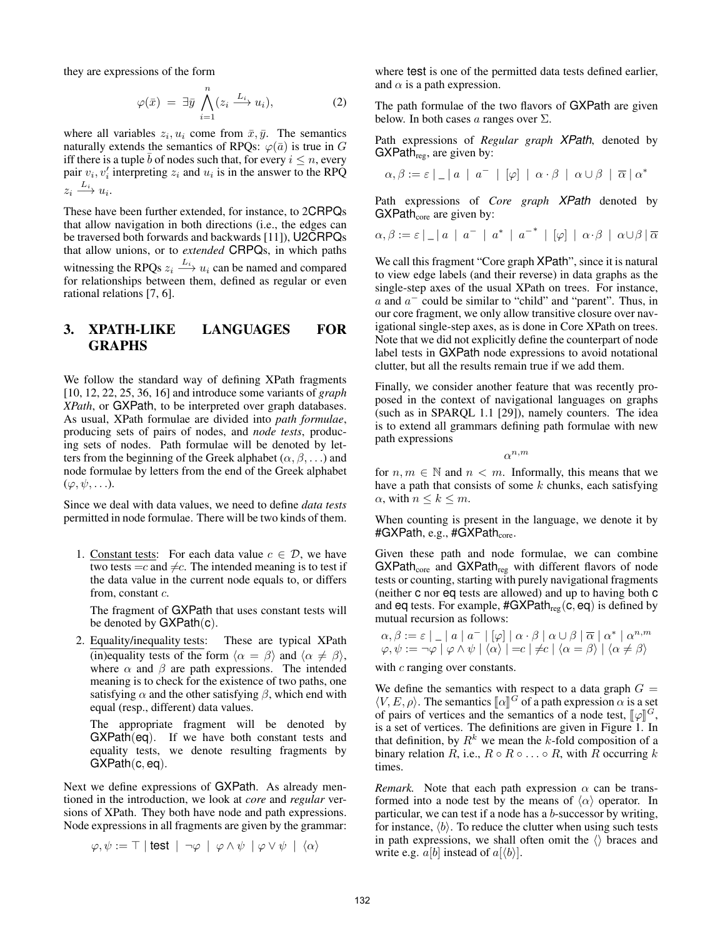they are expressions of the form

$$
\varphi(\bar{x}) = \exists \bar{y} \bigwedge_{i=1}^{n} (z_i \xrightarrow{L_i} u_i), \tag{2}
$$

where all variables  $z_i, u_i$  come from  $\bar{x}, \bar{y}$ . The semantics naturally extends the semantics of RPQs:  $\varphi(\bar{a})$  is true in G iff there is a tuple b of nodes such that, for every  $i \leq n$ , every pair  $v_i$ ,  $v'_i$  interpreting  $z_i$  and  $u_i$  is in the answer to the RPQ  $z_i \stackrel{L_i}{\longrightarrow} u_i.$ 

These have been further extended, for instance, to 2CRPQs that allow navigation in both directions (i.e., the edges can be traversed both forwards and backwards [11]), U2CRPQs that allow unions, or to *extended* CRPQs, in which paths witnessing the RPQs  $z_i \stackrel{L_i}{\longrightarrow} u_i$  can be named and compared for relationships between them, defined as regular or even rational relations [7, 6].

# 3. XPATH-LIKE LANGUAGES FOR GRAPHS

We follow the standard way of defining XPath fragments [10, 12, 22, 25, 36, 16] and introduce some variants of *graph XPath*, or GXPath, to be interpreted over graph databases. As usual, XPath formulae are divided into *path formulae*, producing sets of pairs of nodes, and *node tests*, producing sets of nodes. Path formulae will be denoted by letters from the beginning of the Greek alphabet ( $\alpha$ ,  $\beta$ , ...) and node formulae by letters from the end of the Greek alphabet  $(\varphi, \psi, \ldots).$ 

Since we deal with data values, we need to define *data tests* permitted in node formulae. There will be two kinds of them.

1. Constant tests: For each data value  $c \in \mathcal{D}$ , we have two tests  $=c$  and  $\neq c$ . The intended meaning is to test if the data value in the current node equals to, or differs from, constant c.

The fragment of GXPath that uses constant tests will be denoted by GXPath(c).

2. Equality/inequality tests: These are typical XPath (in)equality tests of the form  $\langle \alpha = \beta \rangle$  and  $\langle \alpha \neq \beta \rangle$ , where  $\alpha$  and  $\beta$  are path expressions. The intended meaning is to check for the existence of two paths, one satisfying  $\alpha$  and the other satisfying  $\beta$ , which end with equal (resp., different) data values.

The appropriate fragment will be denoted by GXPath(eq). If we have both constant tests and equality tests, we denote resulting fragments by GXPath(c, eq).

Next we define expressions of GXPath. As already mentioned in the introduction, we look at *core* and *regular* versions of XPath. They both have node and path expressions. Node expressions in all fragments are given by the grammar:

$$
\varphi, \psi := \top |\text{test} | \neg \varphi | \varphi \wedge \psi | \varphi \vee \psi | \langle \alpha \rangle
$$

where test is one of the permitted data tests defined earlier, and  $\alpha$  is a path expression.

The path formulae of the two flavors of GXPath are given below. In both cases a ranges over  $\Sigma$ .

Path expressions of *Regular graph XPath*, denoted by GXPath $_{reg}$ , are given by:

$$
\alpha, \beta := \varepsilon \mid \underline{\quad} \mid a \mid a^{-} \mid [\varphi] \mid \alpha \cdot \beta \mid \alpha \cup \beta \mid \overline{\alpha} \mid \alpha^*
$$

Path expressions of *Core graph XPath* denoted by  $GXPath<sub>core</sub>$  are given by:

$$
\alpha, \beta := \varepsilon \mid \underline{\quad} \mid a \mid a^- \mid a^* \mid a^{-*} \mid [\varphi] \mid \alpha \cdot \beta \mid \alpha \cup \beta \mid \overline{\alpha}
$$

We call this fragment "Core graph  $XPath$ ", since it is natural to view edge labels (and their reverse) in data graphs as the single-step axes of the usual XPath on trees. For instance,  $a$  and  $a^-$  could be similar to "child" and "parent". Thus, in our core fragment, we only allow transitive closure over navigational single-step axes, as is done in Core XPath on trees. Note that we did not explicitly define the counterpart of node label tests in GXPath node expressions to avoid notational clutter, but all the results remain true if we add them.

Finally, we consider another feature that was recently proposed in the context of navigational languages on graphs (such as in SPARQL 1.1 [29]), namely counters. The idea is to extend all grammars defining path formulae with new path expressions

 $\alpha^{n,m}$ 

for  $n, m \in \mathbb{N}$  and  $n < m$ . Informally, this means that we have a path that consists of some  $k$  chunks, each satisfying  $\alpha$ , with  $n \leq k \leq m$ .

When counting is present in the language, we denote it by  $\#GXP$ ath, e.g.,  $\#GXP$ ath<sub>core</sub>.

Given these path and node formulae, we can combine  $GXPath_{core}$  and  $GXPath_{reg}$  with different flavors of node tests or counting, starting with purely navigational fragments (neither c nor eq tests are allowed) and up to having both c and eq tests. For example,  $\#GXPath_{reg}(c, eq)$  is defined by mutual recursion as follows:

$$
\alpha, \beta := \varepsilon \mid \quad |a|a^{-} | [\varphi] | \alpha \cdot \beta | \alpha \cup \beta | \overline{\alpha} | \alpha^{*} | \alpha^{n,m}
$$
  

$$
\varphi, \psi := \neg \varphi | \varphi \wedge \psi | \langle \alpha \rangle | = c | \neq c | \langle \alpha = \beta \rangle | \langle \alpha \neq \beta \rangle
$$

with c ranging over constants.

We define the semantics with respect to a data graph  $G =$  $\langle V, E, \rho \rangle$ . The semantics  $[\![\alpha]\!]^G$  of a path expression  $\alpha$  is a set of pairs of vertices and the semantics of a node test  $[\![\alpha]\!]^G$ of pairs of vertices and the semantics of a node test,  $[\varphi]]^G$ ,<br>is a set of vertices. The definitions are given in Figure 1. In is a set of vertices. The definitions are given in Figure 1. In that definition, by  $R^k$  we mean the k-fold composition of a binary relation R, i.e.,  $R \circ R \circ \ldots \circ R$ , with R occurring k times.

*Remark.* Note that each path expression  $\alpha$  can be transformed into a node test by the means of  $\langle \alpha \rangle$  operator. In particular, we can test if a node has a b-successor by writing, for instance,  $\langle b \rangle$ . To reduce the clutter when using such tests in path expressions, we shall often omit the  $\langle \rangle$  braces and write e.g.  $a[b]$  instead of  $a[\langle b \rangle]$ .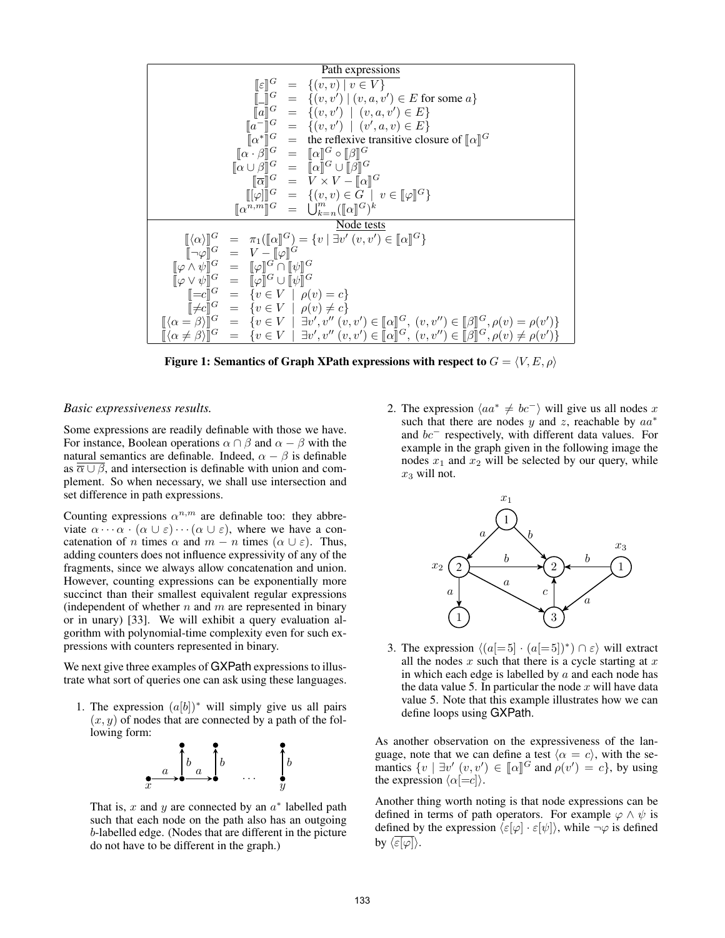| Path expressions                                                                                                  |
|-------------------------------------------------------------------------------------------------------------------|
| $\llbracket \varepsilon \rrbracket^G = \{(v, v') \mid v \in V\}$                                                  |
| $\llbracket \Box \rrbracket^G = \{(v, v') \mid (v, a, v') \in E \text{ for some } a\}$                            |
| $\llbracket a \rrbracket^G = \{(v, v') \mid (v, a, v') \in E\}$                                                   |
| $\llbracket a^* \rrbracket^G = \{ (v, v') \mid (v', a, v) \in E \}$                                               |
| $\llbracket \alpha^* \rrbracket^G = \text{the reflexive transitive closure of } \llbracket \alpha \rrbracket^G$   |
| $\llbracket \alpha \cup \beta \rrbracket^G = \llbracket \alpha \rrbracket^G \cup \llbracket \beta \rrbracket^G$   |
| $\llbracket \varphi \rrbracket^G = \{ (v, v) \in G \mid v \in \llbracket \varphi \rrbracket^G \}$                 |
| $\llbracket \alpha \rrbracket^G = \{ (v, v) \in G \mid v \in \llbracket \varphi \rrbracket^G \}$                  |
| $\llbracket \alpha \rrbracket^G = \text{diag} \{ (v, v') \in \llbracket \alpha \rrbracket^G \}$                   |
| $\llbracket \alpha \rrbracket^G = \text{diag} \{ (v, v') \in \llbracket \alpha \rrbracket^G \}$                   |
| $\llbracket \alpha \rrbracket^G = \text{diag} \{ \varphi \mid \exists v' \in \llbracket \alpha \rrbracket^G \}$   |
| $\llbracket \varphi \wedge \psi \rrbracket^G = \llbracket \varphi \rrbracket^G \cup \llbracket \psi \rrbracket^G$ |
| $\llbracket \varphi \in \llbracket \varphi \in \llbracket \varphi \in \llbracket \varphi \right]^G$               |

Figure 1: Semantics of Graph XPath expressions with respect to  $G = \langle V, E, \rho \rangle$ 

#### *Basic expressiveness results.*

Some expressions are readily definable with those we have. For instance, Boolean operations  $\alpha \cap \beta$  and  $\alpha - \beta$  with the natural semantics are definable. Indeed,  $\alpha - \beta$  is definable as  $\overline{\alpha \cup \beta}$ , and intersection is definable with union and complement. So when necessary, we shall use intersection and set difference in path expressions.

Counting expressions  $\alpha^{n,m}$  are definable too: they abbreviate  $\alpha \cdots \alpha \cdot (\alpha \cup \varepsilon) \cdots (\alpha \cup \varepsilon)$ , where we have a concatenation of *n* times  $\alpha$  and  $m - n$  times ( $\alpha \cup \varepsilon$ ). Thus, adding counters does not influence expressivity of any of the fragments, since we always allow concatenation and union. However, counting expressions can be exponentially more succinct than their smallest equivalent regular expressions (independent of whether  $n$  and  $m$  are represented in binary or in unary) [33]. We will exhibit a query evaluation algorithm with polynomial-time complexity even for such expressions with counters represented in binary.

We next give three examples of GXPath expressions to illustrate what sort of queries one can ask using these languages.

1. The expression  $(a[b])^*$  will simply give us all pairs  $(x, y)$  of nodes that are connected by a path of the following form:



That is,  $x$  and  $y$  are connected by an  $a^*$  labelled path such that each node on the path also has an outgoing b-labelled edge. (Nodes that are different in the picture do not have to be different in the graph.)

2. The expression  $\langle aa^* \neq bc^- \rangle$  will give us all nodes x such that there are nodes y and z, reachable by  $aa^*$ and bc<sup>−</sup> respectively, with different data values. For example in the graph given in the following image the nodes  $x_1$  and  $x_2$  will be selected by our query, while  $x_3$  will not.



3. The expression  $\langle (a[-5] \cdot (a[-5])^*) \cap \varepsilon \rangle$  will extract all the nodes  $x$  such that there is a cycle starting at  $x$ in which each edge is labelled by  $a$  and each node has the data value 5. In particular the node  $x$  will have data value 5. Note that this example illustrates how we can define loops using GXPath.

As another observation on the expressiveness of the language, note that we can define a test  $\langle \alpha = c \rangle$ , with the semantics  $\{v \mid \exists v' (v, v') \in [\![\alpha]\!]^G$  and  $\rho(v') = c\}$ , by using the expression  $\langle \alpha [-c] \rangle$ the expression  $\langle \alpha| = c \rangle$ .

Another thing worth noting is that node expressions can be defined in terms of path operators. For example  $\varphi \wedge \psi$  is defined by the expression  $\langle \varepsilon[\varphi] \cdot \varepsilon[\psi] \rangle$ , while  $\neg \varphi$  is defined by  $\langle \overline{\varepsilon[\varphi]} \rangle$ .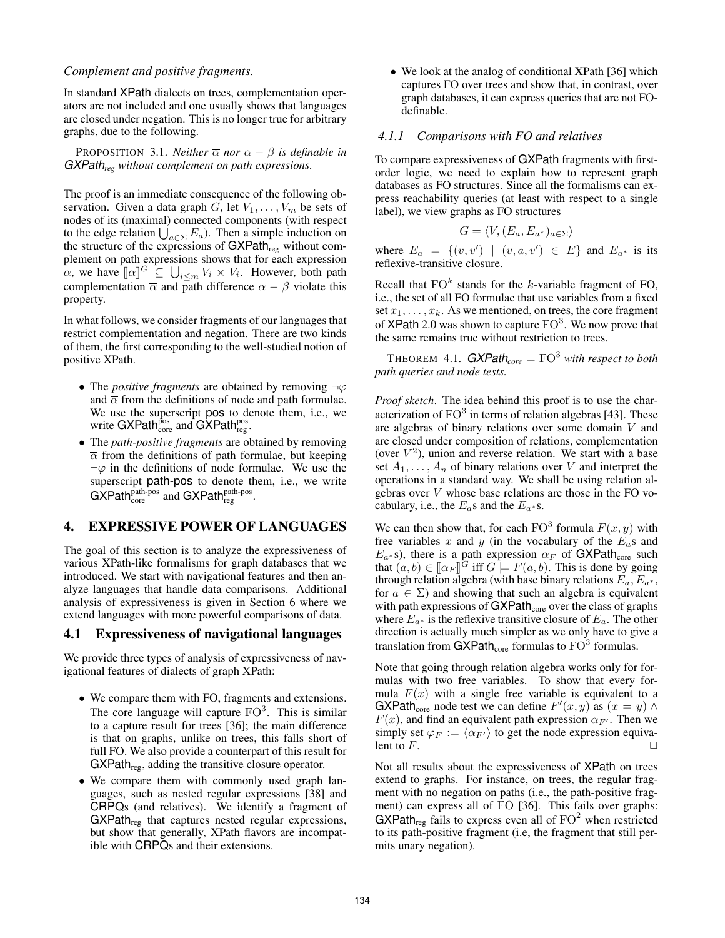### *Complement and positive fragments.*

In standard XPath dialects on trees, complementation operators are not included and one usually shows that languages are closed under negation. This is no longer true for arbitrary graphs, due to the following.

**PROPOSITION** 3.1. *Neither*  $\overline{\alpha}$  *nor*  $\alpha - \beta$  *is definable in GXPathreg without complement on path expressions.*

The proof is an immediate consequence of the following observation. Given a data graph G, let  $V_1, \ldots, V_m$  be sets of nodes of its (maximal) connected components (with respect to the edge relation  $\bigcup_{a \in \Sigma} E_a$ ). Then a simple induction on the structure of the expressions of  $GXPath_{reg}$  without complement on path expressions shows that for each expression  $\alpha$ , we have  $[\![\alpha]\!]^G \subseteq \bigcup_{i \leq m} V_i \times V_i$ . However, both path<br>complementation  $\overline{\alpha}$  and noth difference  $\alpha$ ,  $\beta$  violate this complementation  $\bar{\alpha}$  and path difference  $\alpha - \beta$  violate this property.

In what follows, we consider fragments of our languages that restrict complementation and negation. There are two kinds of them, the first corresponding to the well-studied notion of positive XPath.

- The *positive fragments* are obtained by removing  $\neg \varphi$ and  $\overline{\alpha}$  from the definitions of node and path formulae. We use the superscript pos to denote them, i.e., we write GXPath $_{\rm core}^{\rm pos}$  and GXPath $_{\rm reg}^{\rm pos}.$
- The *path-positive fragments* are obtained by removing  $\overline{\alpha}$  from the definitions of path formulae, but keeping  $\neg \varphi$  in the definitions of node formulae. We use the superscript path-pos to denote them, i.e., we write  $GXPath_{\text{core}}^{\text{path-pos}}$  and  $GXPath_{\text{reg}}^{\text{path-pos}}$ .

# 4. EXPRESSIVE POWER OF LANGUAGES

The goal of this section is to analyze the expressiveness of various XPath-like formalisms for graph databases that we introduced. We start with navigational features and then analyze languages that handle data comparisons. Additional analysis of expressiveness is given in Section 6 where we extend languages with more powerful comparisons of data.

#### 4.1 Expressiveness of navigational languages

We provide three types of analysis of expressiveness of navigational features of dialects of graph XPath:

- We compare them with FO, fragments and extensions. The core language will capture  $FO^3$ . This is similar to a capture result for trees [36]; the main difference is that on graphs, unlike on trees, this falls short of full FO. We also provide a counterpart of this result for  $GXPath<sub>reg</sub>$ , adding the transitive closure operator.
- We compare them with commonly used graph languages, such as nested regular expressions [38] and CRPQs (and relatives). We identify a fragment of  $GXPath_{reg}$  that captures nested regular expressions, but show that generally, XPath flavors are incompatible with CRPQs and their extensions.

• We look at the analog of conditional XPath [36] which captures FO over trees and show that, in contrast, over graph databases, it can express queries that are not FOdefinable.

#### *4.1.1 Comparisons with FO and relatives*

To compare expressiveness of GXPath fragments with firstorder logic, we need to explain how to represent graph databases as FO structures. Since all the formalisms can express reachability queries (at least with respect to a single label), we view graphs as FO structures

$$
G = \langle V, (E_a, E_{a^*})_{a \in \Sigma} \rangle
$$

where  $E_a = \{(v, v') | (v, a, v') \in E\}$  and  $E_{a^*}$  is its reflexive-transitive closure.

Recall that  $FO<sup>k</sup>$  stands for the k-variable fragment of FO, i.e., the set of all FO formulae that use variables from a fixed set  $x_1, \ldots, x_k$ . As we mentioned, on trees, the core fragment of XPath 2.0 was shown to capture  $FO^3$ . We now prove that the same remains true without restriction to trees.

THEOREM 4.1.  $GXPath_{core} = FO^3$  *with respect to both path queries and node tests.*

*Proof sketch*. The idea behind this proof is to use the characterization of  $FO<sup>3</sup>$  in terms of relation algebras [43]. These are algebras of binary relations over some domain V and are closed under composition of relations, complementation (over  $V^2$ ), union and reverse relation. We start with a base set  $A_1, \ldots, A_n$  of binary relations over V and interpret the operations in a standard way. We shall be using relation algebras over V whose base relations are those in the FO vocabulary, i.e., the  $E_a$ s and the  $E_{a*}$ s.

We can then show that, for each  $FO^3$  formula  $F(x, y)$  with free variables x and y (in the vocabulary of the  $E_a$ s and  $E_{a*}$  s), there is a path expression  $\alpha_F$  of GXPath<sub>core</sub> such that  $(a, b) \in [\![\alpha_F]\!]^{\overline{G}}$  iff  $G \models F(a, b)$ . This is done by going through relation algebra (with base binary relations  $F \nF$ . through relation algebra (with base binary relations  $E_a$ ,  $E_a$ <sup>\*</sup>, for  $a \in \Sigma$ ) and showing that such an algebra is equivalent with path expressions of  $GXPath_{core}$  over the class of graphs where  $E_{a^*}$  is the reflexive transitive closure of  $E_a$ . The other direction is actually much simpler as we only have to give a translation from  $GXPath_{core}$  formulas to  $FO^3$  formulas.

Note that going through relation algebra works only for formulas with two free variables. To show that every formula  $F(x)$  with a single free variable is equivalent to a GXPath<sub>core</sub> node test we can define  $F'(x, y)$  as  $(x = y) \wedge$  $F(x)$ , and find an equivalent path expression  $\alpha_{F'}$ . Then we simply set  $\varphi_F := \langle \alpha_{F'} \rangle$  to get the node expression equivalent to  $F$ .

Not all results about the expressiveness of XPath on trees extend to graphs. For instance, on trees, the regular fragment with no negation on paths (i.e., the path-positive fragment) can express all of FO [36]. This fails over graphs: GXPath<sub>reg</sub> fails to express even all of  $FO<sup>2</sup>$  when restricted to its path-positive fragment (i.e, the fragment that still permits unary negation).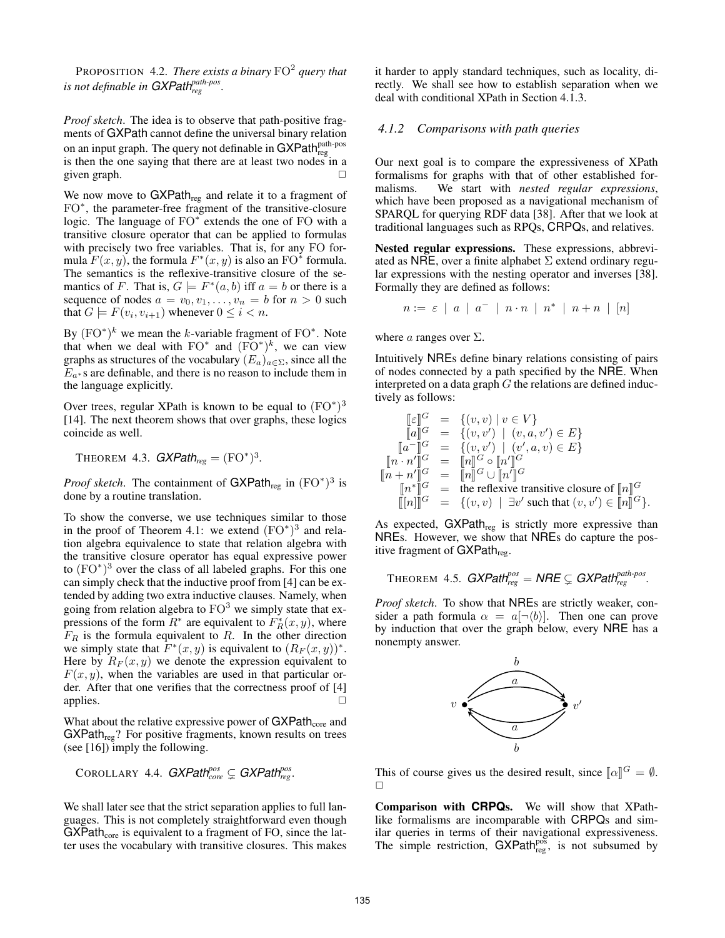PROPOSITION 4.2. *There exists a binary*  $FO<sup>2</sup>$  query that *is not definable in GXPath* $_{reg}^{path-pos}$ *.* 

*Proof sketch*. The idea is to observe that path-positive fragments of GXPath cannot define the universal binary relation on an input graph. The query not definable in  ${\sf GXPath}_{{\rm reg}}^{{\sf path-pos}}$ is then the one saying that there are at least two nodes in a given graph.  $\Box$ 

We now move to  $GXPath_{reg}$  and relate it to a fragment of FO<sup>\*</sup>, the parameter-free fragment of the transitive-closure logic. The language of  $FO^*$  extends the one of FO with a transitive closure operator that can be applied to formulas with precisely two free variables. That is, for any FO formula  $F(x, y)$ , the formula  $F^*(x, y)$  is also an FO\* formula. The semantics is the reflexive-transitive closure of the semantics of F. That is,  $G \models F^*(a, b)$  iff  $a = b$  or there is a sequence of nodes  $a = v_0, v_1, \ldots, v_n = b$  for  $n > 0$  such that  $G \models F(v_i, v_{i+1})$  whenever  $0 \leq i < n$ .

By  $(FO^*)^k$  we mean the k-variable fragment of  $FO^*$ . Note that when we deal with  $FO^*$  and  $(FO^*)^k$ , we can view graphs as structures of the vocabulary  $(E_a)_{a \in \Sigma}$ , since all the  $E_{a*}$ s are definable, and there is no reason to include them in the language explicitly.

Over trees, regular XPath is known to be equal to  $(\text{FO}^*)^3$ [14]. The next theorem shows that over graphs, these logics coincide as well.

THEOREM 4.3.  $GXPath_{reg} = (FO^*)^3$ .

*Proof sketch*. The containment of  $GXPath_{reg}$  in  $(FO^*)^3$  is done by a routine translation.

To show the converse, we use techniques similar to those in the proof of Theorem 4.1: we extend  $(FO^*)^3$  and relation algebra equivalence to state that relation algebra with the transitive closure operator has equal expressive power to  $(FO^*)^3$  over the class of all labeled graphs. For this one can simply check that the inductive proof from [4] can be extended by adding two extra inductive clauses. Namely, when going from relation algebra to  $FO<sup>3</sup>$  we simply state that expressions of the form  $R^*$  are equivalent to  $\overline{F_R^*}(x, y)$ , where  $F_R$  is the formula equivalent to R. In the other direction we simply state that  $F^*(x, y)$  is equivalent to  $(R_F(x, y))^*$ . Here by  $R_F(x, y)$  we denote the expression equivalent to  $F(x, y)$ , when the variables are used in that particular order. After that one verifies that the correctness proof of [4] applies.

What about the relative expressive power of  $GXPath<sub>core</sub>$  and  $GXPath_{reg}$ ? For positive fragments, known results on trees (see [16]) imply the following.

COROLLARY 4.4. 
$$
GXPath_{core}^{pos} \subsetneq GXPath_{reg}^{pos}
$$
.

We shall later see that the strict separation applies to full languages. This is not completely straightforward even though  $GXPath_{core}$  is equivalent to a fragment of FO, since the latter uses the vocabulary with transitive closures. This makes it harder to apply standard techniques, such as locality, directly. We shall see how to establish separation when we deal with conditional XPath in Section 4.1.3.

#### *4.1.2 Comparisons with path queries*

Our next goal is to compare the expressiveness of XPath formalisms for graphs with that of other established formalisms. We start with *nested regular expressions*, which have been proposed as a navigational mechanism of SPARQL for querying RDF data [38]. After that we look at traditional languages such as RPQs, CRPQs, and relatives.

Nested regular expressions. These expressions, abbreviated as NRE, over a finite alphabet  $\Sigma$  extend ordinary regular expressions with the nesting operator and inverses [38]. Formally they are defined as follows:

$$
n := \varepsilon \ | \ a \ | \ a^{-} \ | \ n \cdot n \ | \ n^* \ | \ n + n \ | \ [n]
$$

where *a* ranges over  $\Sigma$ .

Intuitively NREs define binary relations consisting of pairs of nodes connected by a path specified by the NRE. When interpreted on a data graph  $G$  the relations are defined inductively as follows:

$$
\begin{array}{rcl}\n[\varepsilon]^G & = & \{(v, v) \mid v \in V\} \\
[\![a]\!]^G & = & \{(v, v') \mid (v, a, v') \in E\} \\
[\![a^-]\!]^G & = & \{(v, v') \mid (v', a, v) \in E\} \\
[\![n \cdot n']\!]^G & = & [\![n]\!]^G \circ [\![n']\!]^G \\
[\![n + n']\!]^G & = & [\![n]\!]^G \cup [\![n']\!]^G \\
[\![n*\!]^G & = & \text{the reflexive transitive closure of } [\![n]\!]^G \\
[\![n]\!]^G & = & \{(v, v) \mid \exists v' \text{ such that } (v, v') \in [\![n]\!]^G\}.\n\end{array}
$$

As expected,  $GXPath_{reg}$  is strictly more expressive than NREs. However, we show that NREs do capture the positive fragment of  $GXPath<sub>reg</sub>$ .

THEOREM 4.5. 
$$
GXPath_{reg}^{pos} = NRE \subsetneq GXPath_{reg}^{path-pos}
$$
.

*Proof sketch*. To show that NREs are strictly weaker, consider a path formula  $\alpha = a[\neg \langle b \rangle]$ . Then one can prove by induction that over the graph below, every NRE has a nonempty answer.



This of course gives us the desired result, since  $[\![\alpha]\!]^G = \emptyset$ .  $\Box$ 

Comparison with **CRPQ**s. We will show that XPathlike formalisms are incomparable with CRPQs and similar queries in terms of their navigational expressiveness. The simple restriction,  $GXPath_{reg}^{pos}$ , is not subsumed by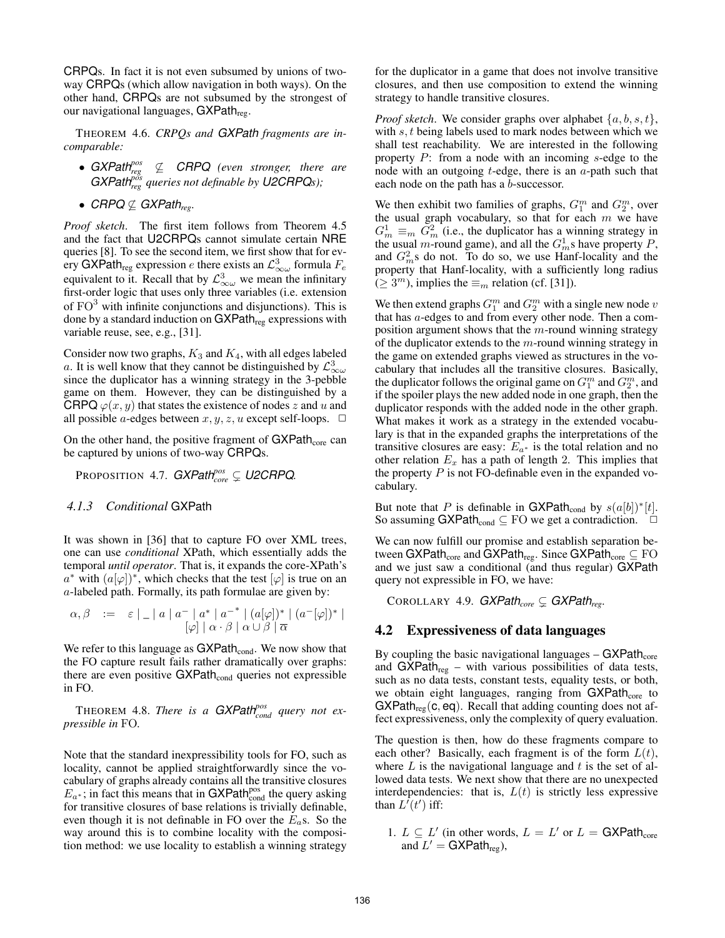CRPQs. In fact it is not even subsumed by unions of twoway CRPQs (which allow navigation in both ways). On the other hand, CRPQs are not subsumed by the strongest of our navigational languages,  $GXPath<sub>reg</sub>$ .

THEOREM 4.6. *CRPQs and GXPath fragments are incomparable:*

- *GXPath<sup>pos</sup>*  $\nsubseteq$  *CRPQ* (even stronger, there are *GXPath*<sup> $\frac{p\delta s}{r\epsilon g}$  *queries not definable by U2CRPQs)*;</sup>
- *CRPQ*  $\nsubseteq$  *GXPath<sub>reg</sub>*.

*Proof sketch*. The first item follows from Theorem 4.5 and the fact that U2CRPQs cannot simulate certain NRE queries [8]. To see the second item, we first show that for every GXPath<sub>reg</sub> expression e there exists an  $\mathcal{L}_{\infty \omega}^3$  formula  $F_e$ equivalent to it. Recall that by  $\mathcal{L}^3_{\infty \omega}$  we mean the infinitary first-order logic that uses only three variables (i.e. extension of  $FO<sup>3</sup>$  with infinite conjunctions and disjunctions). This is done by a standard induction on GXPath<sub>reg</sub> expressions with variable reuse, see, e.g., [31].

Consider now two graphs,  $K_3$  and  $K_4$ , with all edges labeled a. It is well know that they cannot be distinguished by  $\mathcal{L}^3_{\infty \omega}$ since the duplicator has a winning strategy in the 3-pebble game on them. However, they can be distinguished by a CRPQ  $\varphi(x, y)$  that states the existence of nodes z and u and all possible *a*-edges between  $x, y, z, u$  except self-loops.  $\Box$ 

On the other hand, the positive fragment of  $GXPath<sub>core</sub>$  can be captured by unions of two-way CRPQs.

PROPOSITION 4.7. *GXPathpos core* ( *U2CRPQ.*

### *4.1.3 Conditional* GXPath

It was shown in [36] that to capture FO over XML trees, one can use *conditional* XPath, which essentially adds the temporal *until operator*. That is, it expands the core-XPath's  $a^*$  with  $(a[\varphi])^*$ , which checks that the test  $[\varphi]$  is true on an a-labeled path. Formally, its path formulae are given by:

$$
\alpha, \beta \quad := \quad \varepsilon \mid \underline{\hspace{1cm}} \mid a \mid a^- \mid a^* \mid a^{-*} \mid (a[\varphi])^* \mid (a^-[ \varphi])^* \mid
$$
  

$$
[\varphi] \mid \alpha \cdot \beta \mid \alpha \cup \beta \mid \overline{\alpha}
$$

We refer to this language as  $GXPath_{cond}$ . We now show that the FO capture result fails rather dramatically over graphs: there are even positive  $GXPath_{cond}$  queries not expressible in FO.

THEOREM 4.8. *There is a GXPath<sup>pos</sup> query not expressible in* FO*.*

Note that the standard inexpressibility tools for FO, such as locality, cannot be applied straightforwardly since the vocabulary of graphs already contains all the transitive closures  $E_{a^*}$ ; in fact this means that in GXPath<sup>pos</sup> the query asking for transitive closures of base relations is trivially definable, even though it is not definable in FO over the  $E_a$ s. So the way around this is to combine locality with the composition method: we use locality to establish a winning strategy

for the duplicator in a game that does not involve transitive closures, and then use composition to extend the winning strategy to handle transitive closures.

*Proof sketch.* We consider graphs over alphabet  $\{a, b, s, t\}$ , with s, t being labels used to mark nodes between which we shall test reachability. We are interested in the following property P: from a node with an incoming s-edge to the node with an outgoing  $t$ -edge, there is an  $a$ -path such that each node on the path has a b-successor.

We then exhibit two families of graphs,  $G_1^m$  and  $G_2^m$ , over the usual graph vocabulary, so that for each  $m$  we have  $G_m^1 \equiv_m G_m^2$  (i.e., the duplicator has a winning strategy in the usual m-round game), and all the  $G_m^1$ s have property P, and  $G_m^2$ s do not. To do so, we use Hanf-locality and the property that Hanf-locality, with a sufficiently long radius  $(\geq 3^m)$ , implies the  $\equiv_m$  relation (cf. [31]).

We then extend graphs  $G_1^m$  and  $G_2^m$  with a single new node  $v$ that has a-edges to and from every other node. Then a composition argument shows that the  $m$ -round winning strategy of the duplicator extends to the  $m$ -round winning strategy in the game on extended graphs viewed as structures in the vocabulary that includes all the transitive closures. Basically, the duplicator follows the original game on  $G_1^m$  and  $G_2^m$ , and if the spoiler plays the new added node in one graph, then the duplicator responds with the added node in the other graph. What makes it work as a strategy in the extended vocabulary is that in the expanded graphs the interpretations of the transitive closures are easy:  $E_{a*}$  is the total relation and no other relation  $E_x$  has a path of length 2. This implies that the property  $P$  is not FO-definable even in the expanded vocabulary.

But note that P is definable in GXPath<sub>cond</sub> by  $s(a[b])^*[t]$ . So assuming  $GXPath_{cond} \subseteq FO$  we get a contradiction.  $\Box$ 

We can now fulfill our promise and establish separation between GXPath<sub>core</sub> and GXPath<sub>reg</sub>. Since GXPath<sub>core</sub>  $\subseteq$  FO and we just saw a conditional (and thus regular) GXPath query not expressible in FO, we have:

COROLLARY 4.9. *GXPathcore* ( *GXPathreg.*

## 4.2 Expressiveness of data languages

By coupling the basic navigational languages  $-$  GXPath<sub>core</sub> and  $GXPath_{reg}$  – with various possibilities of data tests, such as no data tests, constant tests, equality tests, or both, we obtain eight languages, ranging from  $GXPath<sub>core</sub>$  to  $GXPath_{reg}(c, eq)$ . Recall that adding counting does not affect expressiveness, only the complexity of query evaluation.

The question is then, how do these fragments compare to each other? Basically, each fragment is of the form  $L(t)$ , where  $L$  is the navigational language and  $t$  is the set of allowed data tests. We next show that there are no unexpected interdependencies: that is,  $L(t)$  is strictly less expressive than  $L^{r}(t')$  iff:

1.  $L \subseteq L'$  (in other words,  $L = L'$  or  $L = \text{GXPath}_{\text{core}}$ and  $L' =$  GXPath<sub>reg</sub>),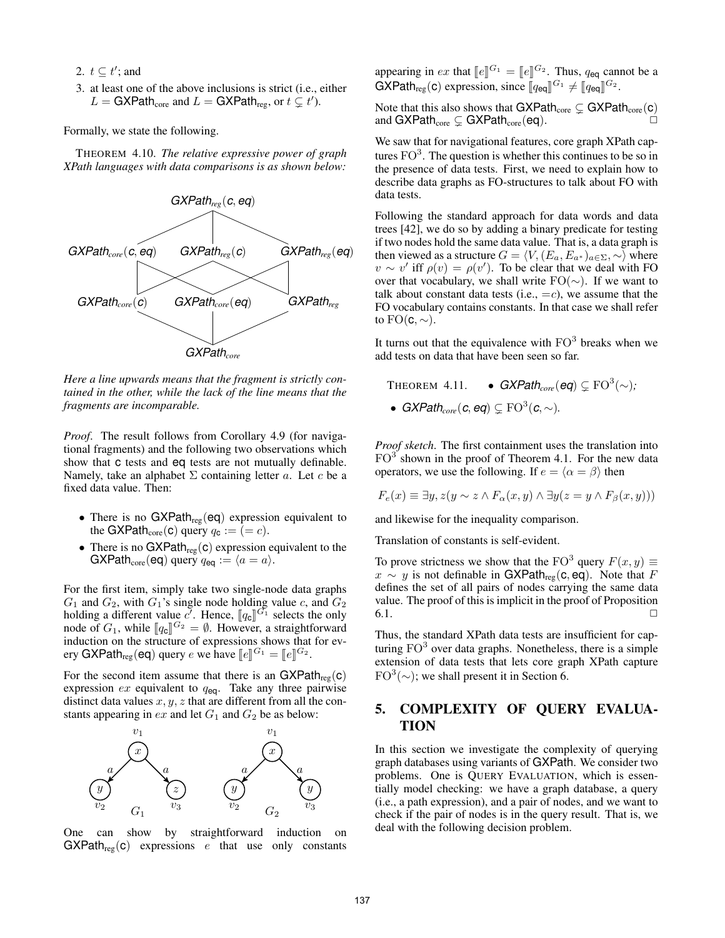2.  $t \subseteq t'$ ; and

3. at least one of the above inclusions is strict (i.e., either  $L = \text{GXPath}_{\text{core}}$  and  $L = \text{GXPath}_{\text{reg}}$ , or  $t \subsetneq t'$ ).

Formally, we state the following.

THEOREM 4.10. *The relative expressive power of graph XPath languages with data comparisons is as shown below:*



*Here a line upwards means that the fragment is strictly contained in the other, while the lack of the line means that the fragments are incomparable.*

*Proof*. The result follows from Corollary 4.9 (for navigational fragments) and the following two observations which show that c tests and eq tests are not mutually definable. Namely, take an alphabet  $\Sigma$  containing letter a. Let c be a fixed data value. Then:

- There is no  $GXPath_{reg}(eq)$  expression equivalent to the GXPath<sub>core</sub>(c) query  $q_c := (= c)$ .
- There is no  $GXPath_{reg}(c)$  expression equivalent to the GXPath<sub>core</sub>(eq) query  $q_{eq} := \langle a = a \rangle$ .

For the first item, simply take two single-node data graphs  $G_1$  and  $G_2$ , with  $G_1$ 's single node holding value c, and  $G_2$ holding a different value  $c^7$ . Hence,  $[\![q_c]\!]^{G_1}$  selects the only<br>node of  $G_1$  while  $[\![q_c]\!]^{G_2} = \emptyset$ . However, a straightforward node of  $G_1$ , while  $[\![q_c]\!]^{G_2} = \emptyset$ . However, a straightforward<br>induction on the structure of expressions shows that for evinduction on the structure of expressions shows that for every GXPath<sub>reg</sub> (eq) query e we have  $[\![e]\!]^{G_1} = [\![e]\!]^{G_2}$ .

For the second item assume that there is an  $GXPath_{reg}(c)$ expression  $ex$  equivalent to  $q_{eq}$ . Take any three pairwise distinct data values  $x, y, z$  that are different from all the constants appearing in  $ex$  and let  $G_1$  and  $G_2$  be as below:



One can show by straightforward induction on  $GXPath_{reg}(c)$  expressions e that use only constants

appearing in ex that  $[\![e]\!]^{G_1} = [\![e]\!]^{G_2}$ . Thus,  $q_{eq}$  cannot be a<br>GYPoth (0) expression since  $[\![g, \cdot]\!]^{G_1}$  of  $[\![g, \cdot]\!]^{G_2}$  $\mathsf{GXPath}_{\mathsf{reg}}(\mathsf{c})$  expression, since  $[\![q_{\mathsf{eq}}]\!]^{G_1} \neq [\![q_{\mathsf{eq}}]\!]^{G_2}$ .

Note that this also shows that  $GXPath_{core} \subsetneq GXPath_{core}(c)$ and GXPath<sub>core</sub>  $\subsetneq$  GXPath<sub>core</sub> (eq).

We saw that for navigational features, core graph XPath captures  $FO<sup>3</sup>$ . The question is whether this continues to be so in the presence of data tests. First, we need to explain how to describe data graphs as FO-structures to talk about FO with data tests.

Following the standard approach for data words and data trees [42], we do so by adding a binary predicate for testing if two nodes hold the same data value. That is, a data graph is then viewed as a structure  $G = \langle V, (E_a, E_{a^*})_{a \in \Sigma}, \sim \rangle$  where  $v \sim v'$  iff  $\rho(v) = \rho(v')$ . To be clear that we deal with FO over that vocabulary, we shall write  $FO(\sim)$ . If we want to talk about constant data tests (i.e.,  $=c$ ), we assume that the FO vocabulary contains constants. In that case we shall refer to  $FO(c, \sim)$ .

It turns out that the equivalence with  $FO<sup>3</sup>$  breaks when we add tests on data that have been seen so far.

 $THEOREM 4.11.$  •  $GXPath_{core}(eq) \subsetneq FO^3(\sim);$ •  $GXPath_{core}(c, eq) \subsetneq \mathrm{FO}^3(c, \sim)$ .

*Proof sketch*. The first containment uses the translation into  $FO<sup>3</sup>$  shown in the proof of Theorem 4.1. For the new data operators, we use the following. If  $e = \langle \alpha = \beta \rangle$  then

$$
F_e(x) \equiv \exists y, z(y \sim z \land F_\alpha(x, y) \land \exists y(z = y \land F_\beta(x, y)))
$$

and likewise for the inequality comparison.

Translation of constants is self-evident.

To prove strictness we show that the FO<sup>3</sup> query  $F(x, y) \equiv$  $x \sim y$  is not definable in GXPath<sub>reg</sub>(c, eq). Note that F defines the set of all pairs of nodes carrying the same data value. The proof of this is implicit in the proof of Proposition  $6.1.$ 

Thus, the standard XPath data tests are insufficient for capturing  $FO<sup>3</sup>$  over data graphs. Nonetheless, there is a simple extension of data tests that lets core graph XPath capture  $FO<sup>3</sup>(\sim)$ ; we shall present it in Section 6.

# 5. COMPLEXITY OF QUERY EVALUA-TION

In this section we investigate the complexity of querying graph databases using variants of GXPath. We consider two problems. One is QUERY EVALUATION, which is essentially model checking: we have a graph database, a query (i.e., a path expression), and a pair of nodes, and we want to check if the pair of nodes is in the query result. That is, we deal with the following decision problem.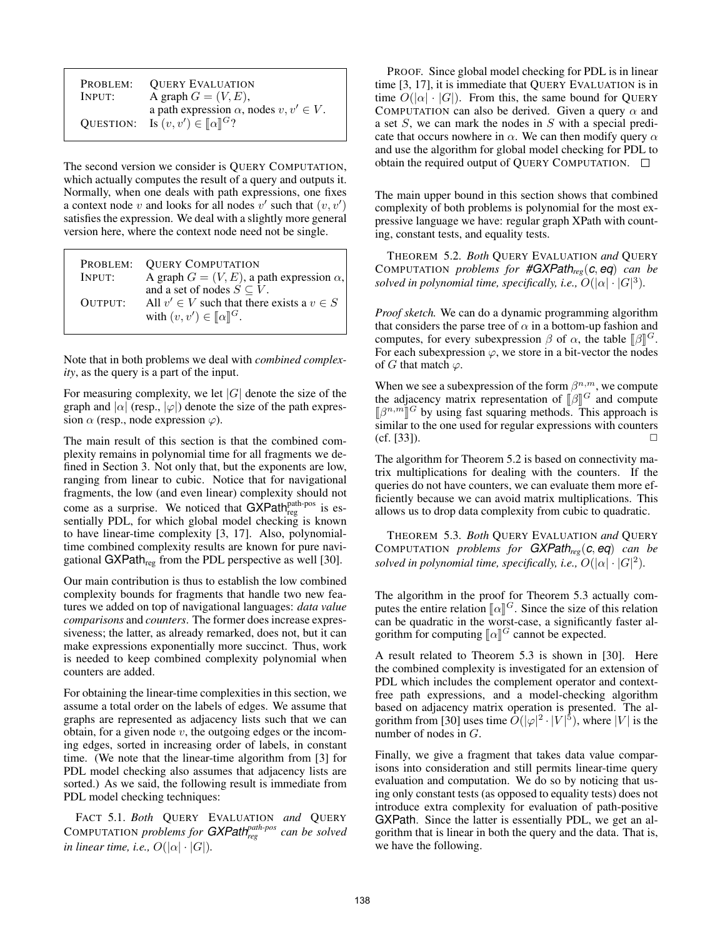| PROBLEM: | <b>OUERY EVALUATION</b>                                                                             |
|----------|-----------------------------------------------------------------------------------------------------|
| INPUT:   | A graph $G = (V, E)$ ,                                                                              |
|          | a path expression $\alpha$ , nodes $v, v' \in V$ .<br>QUESTION: Is $(v, v') \in [\![\alpha]\!]^G$ ? |

The second version we consider is QUERY COMPUTATION, which actually computes the result of a query and outputs it. Normally, when one deals with path expressions, one fixes a context node v and looks for all nodes  $v'$  such that  $(v, v')$ satisfies the expression. We deal with a slightly more general version here, where the context node need not be single.

|         | PROBLEM: OUERY COMPUTATION                          |
|---------|-----------------------------------------------------|
| INPUT:  | A graph $G = (V, E)$ , a path expression $\alpha$ , |
|         | and a set of nodes $S \subseteq V$ .                |
| OUTPUT: | All $v' \in V$ such that there exists a $v \in S$   |
|         | with $(v, v') \in [\![\alpha]\!]^G$ .               |
|         |                                                     |

Note that in both problems we deal with *combined complexity*, as the query is a part of the input.

For measuring complexity, we let  $|G|$  denote the size of the graph and  $|\alpha|$  (resp.,  $|\varphi|$ ) denote the size of the path expression  $\alpha$  (resp., node expression  $\varphi$ ).

The main result of this section is that the combined complexity remains in polynomial time for all fragments we defined in Section 3. Not only that, but the exponents are low, ranging from linear to cubic. Notice that for navigational fragments, the low (and even linear) complexity should not come as a surprise. We noticed that  $GXPath<sub>reg</sub><sup>path-pos</sup>$  is essentially PDL, for which global model checking is known to have linear-time complexity [3, 17]. Also, polynomialtime combined complexity results are known for pure navigational GXPath<sub>reg</sub> from the PDL perspective as well [30].

Our main contribution is thus to establish the low combined complexity bounds for fragments that handle two new features we added on top of navigational languages: *data value comparisons* and *counters*. The former does increase expressiveness; the latter, as already remarked, does not, but it can make expressions exponentially more succinct. Thus, work is needed to keep combined complexity polynomial when counters are added.

For obtaining the linear-time complexities in this section, we assume a total order on the labels of edges. We assume that graphs are represented as adjacency lists such that we can obtain, for a given node  $v$ , the outgoing edges or the incoming edges, sorted in increasing order of labels, in constant time. (We note that the linear-time algorithm from [3] for PDL model checking also assumes that adjacency lists are sorted.) As we said, the following result is immediate from PDL model checking techniques:

FACT 5.1. *Both* QUERY EVALUATION *and* QUERY COMPUTATION *problems for GXPathpath-pos reg can be solved in linear time, i.e.,*  $O(|\alpha| \cdot |G|)$ *.* 

PROOF. Since global model checking for PDL is in linear time [3, 17], it is immediate that QUERY EVALUATION is in time  $O(|\alpha| \cdot |G|)$ . From this, the same bound for QUERY COMPUTATION can also be derived. Given a query  $\alpha$  and a set  $S$ , we can mark the nodes in  $S$  with a special predicate that occurs nowhere in  $\alpha$ . We can then modify query  $\alpha$ and use the algorithm for global model checking for PDL to obtain the required output of QUERY COMPUTATION.

The main upper bound in this section shows that combined complexity of both problems is polynomial for the most expressive language we have: regular graph XPath with counting, constant tests, and equality tests.

THEOREM 5.2. *Both* QUERY EVALUATION *and* QUERY COMPUTATION *problems for #GXPathreg*(*c*, *eq*) *can be solved in polynomial time, specifically, i.e.,*  $O(|\alpha| \cdot |G|^3)$ .

*Proof sketch.* We can do a dynamic programming algorithm that considers the parse tree of  $\alpha$  in a bottom-up fashion and computes, for every subexpression  $\beta$  of  $\alpha$ , the table  $[\beta]$ <sup>G</sup>.<br>For each subexpression  $\alpha$  we store in a bit-vector the nodes For each subexpression  $\varphi$ , we store in a bit-vector the nodes of G that match  $\varphi$ .

When we see a subexpression of the form  $\beta^{n,m}$ , we compute the adjacency matrix representation of  $[\![\beta]\!]^G$  and compute  $[\![\beta]\!]^G$  by using fast squaring methods. This approach is  $[\![\beta^{n,m}]\!]^G$  by using fast squaring methods. This approach is<br>similar to the one used for regular expressions with counters  $\int_{\text{F}}$  is  $\int$  is the squaring methods. This approach is similar to the one used for regular expressions with counters  $(cf. [33]).$ 

The algorithm for Theorem 5.2 is based on connectivity matrix multiplications for dealing with the counters. If the queries do not have counters, we can evaluate them more efficiently because we can avoid matrix multiplications. This allows us to drop data complexity from cubic to quadratic.

THEOREM 5.3. *Both* QUERY EVALUATION *and* QUERY COMPUTATION *problems for GXPathreg*(*c*, *eq*) *can be solved in polynomial time, specifically, i.e.,*  $O(|\alpha| \cdot |G|^2)$ *.* 

The algorithm in the proof for Theorem 5.3 actually computes the entire relation  $\llbracket \alpha \rrbracket^G$ . Since the size of this relation can be quadratic in the worst-case, a significantly faster alcan be quadratic in the worst-case, a significantly faster algorithm for computing  $\llbracket \alpha \rrbracket^G$  cannot be expected.

A result related to Theorem 5.3 is shown in [30]. Here the combined complexity is investigated for an extension of PDL which includes the complement operator and contextfree path expressions, and a model-checking algorithm based on adjacency matrix operation is presented. The algorithm from [30] uses time  $\tilde{O}(|\varphi|^2 \cdot |V|^5)$ , where  $|V|$  is the number of nodes in G.

Finally, we give a fragment that takes data value comparisons into consideration and still permits linear-time query evaluation and computation. We do so by noticing that using only constant tests (as opposed to equality tests) does not introduce extra complexity for evaluation of path-positive GXPath. Since the latter is essentially PDL, we get an algorithm that is linear in both the query and the data. That is, we have the following.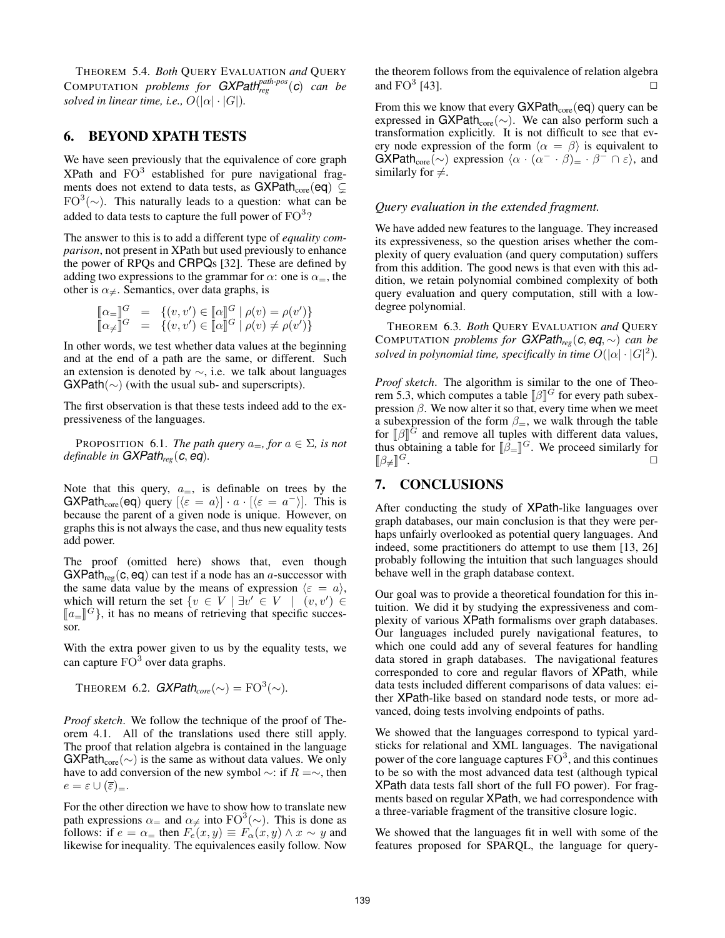THEOREM 5.4. *Both* QUERY EVALUATION *and* QUERY COMPUTATION *problems for GXPathpath-pos reg* (*c*) *can be solved in linear time, i.e.,*  $O(|\alpha| \cdot |G|)$ *.* 

## 6. BEYOND XPATH TESTS

We have seen previously that the equivalence of core graph XPath and  $FO<sup>3</sup>$  established for pure navigational fragments does not extend to data tests, as  $GXPath_{core}(eq) \subseteq$  $FO^{3}(\sim)$ . This naturally leads to a question: what can be added to data tests to capture the full power of  $\mathrm{FO}^3$ ?

The answer to this is to add a different type of *equality comparison*, not present in XPath but used previously to enhance the power of RPQs and CRPQs [32]. These are defined by adding two expressions to the grammar for  $\alpha$ : one is  $\alpha =$ , the other is  $\alpha_{\neq}$ . Semantics, over data graphs, is

$$
\begin{bmatrix} \alpha = \end{bmatrix}^G = \{ (v, v') \in [\![\alpha]\!]^G \mid \rho(v) = \rho(v') \} \n\llbracket \alpha \neq \rrbracket^G = \{ (v, v') \in [\![\alpha]\!]^G \mid \rho(v) \neq \rho(v') \}
$$

In other words, we test whether data values at the beginning and at the end of a path are the same, or different. Such an extension is denoted by ∼, i.e. we talk about languages  $GXPath(\sim)$  (with the usual sub- and superscripts).

The first observation is that these tests indeed add to the expressiveness of the languages.

PROPOSITION 6.1. *The path query*  $a_$ *=, for*  $a \in \Sigma$ *, is not definable in GXPathreg*(*c*, *eq*)*.*

Note that this query,  $a_{\pm}$ , is definable on trees by the  $GXPath_{core}(eq)$  query  $\left[\langle \varepsilon = a \rangle\right] \cdot a \cdot \left[\langle \varepsilon = a^{-} \rangle\right]$ . This is because the parent of a given node is unique. However, on graphs this is not always the case, and thus new equality tests add power.

The proof (omitted here) shows that, even though  $GXPath_{reg}(c, eq)$  can test if a node has an a-successor with the same data value by the means of expression  $\langle \varepsilon = a \rangle$ , which will return the set  $\{v \in V \mid \exists v' \in V \mid (v, v') \in V\}$  $\llbracket a_{\equiv} \rrbracket^G$ , it has no means of retrieving that specific successor sor.

With the extra power given to us by the equality tests, we can capture  $FO^3$  over data graphs.

THEOREM 6.2. 
$$
GXPath_{core}(\sim) = \text{FO}^3(\sim)
$$
.

*Proof sketch*. We follow the technique of the proof of Theorem 4.1. All of the translations used there still apply. The proof that relation algebra is contained in the language  $GXPath_{core}(\sim)$  is the same as without data values. We only have to add conversion of the new symbol  $\sim$ : if  $R = \sim$ , then  $e = \varepsilon \cup (\overline{\varepsilon})_{\equiv}.$ 

For the other direction we have to show how to translate new path expressions  $\alpha_{\pm}$  and  $\alpha_{\neq}$  into  $\text{FO}^3(\sim)$ . This is done as follows: if  $e = \alpha$  then  $F_e(x, y) \equiv F_\alpha(x, y) \wedge x \sim y$  and likewise for inequality. The equivalences easily follow. Now the theorem follows from the equivalence of relation algebra and  $FO<sup>3</sup>$  [43].  $[43]$ .

From this we know that every  $GXPath_{core}(eq)$  query can be expressed in GXPath<sub>core</sub>(∼). We can also perform such a transformation explicitly. It is not difficult to see that every node expression of the form  $\langle \alpha = \beta \rangle$  is equivalent to  $GXPath_{core}(\sim)$  expression  $\langle \alpha \cdot (\alpha^- \cdot \beta) \rangle = \cdot \beta^- \cap \epsilon \rangle$ , and similarly for  $\neq$ .

### *Query evaluation in the extended fragment.*

We have added new features to the language. They increased its expressiveness, so the question arises whether the complexity of query evaluation (and query computation) suffers from this addition. The good news is that even with this addition, we retain polynomial combined complexity of both query evaluation and query computation, still with a lowdegree polynomial.

THEOREM 6.3. *Both* QUERY EVALUATION *and* QUERY COMPUTATION *problems for GXPathreg*(*c*, *eq*, ∼) *can be solved in polynomial time, specifically in time*  $O(|\alpha| \cdot |G|^2)$ .

*Proof sketch*. The algorithm is similar to the one of Theorem 5.3, which computes a table  $\left[\beta\right]^G$  for every path subex-<br>pression  $\beta$ . We now alter it so that, every time when we meet pression  $\beta$ . We now alter it so that, every time when we meet a subexpression of the form  $\beta$ <sub>=</sub>, we walk through the table for  $\llbracket \beta \rrbracket^G$  and remove all tuples with different data values,<br>thus obtaining a table for  $\llbracket \beta \rrbracket^G$ . We proceed similarly for thus obtaining a table for  $[\![\beta_2]\!]^G$ . We proceed similarly for  $[\![\beta_1]\!]^G$  $[\beta_{\neq}]\mathbb{G}$ .  $G$ .

# 7. CONCLUSIONS

After conducting the study of XPath-like languages over graph databases, our main conclusion is that they were perhaps unfairly overlooked as potential query languages. And indeed, some practitioners do attempt to use them [13, 26] probably following the intuition that such languages should behave well in the graph database context.

Our goal was to provide a theoretical foundation for this intuition. We did it by studying the expressiveness and complexity of various XPath formalisms over graph databases. Our languages included purely navigational features, to which one could add any of several features for handling data stored in graph databases. The navigational features corresponded to core and regular flavors of XPath, while data tests included different comparisons of data values: either XPath-like based on standard node tests, or more advanced, doing tests involving endpoints of paths.

We showed that the languages correspond to typical yardsticks for relational and XML languages. The navigational power of the core language captures  $FO^3$ , and this continues to be so with the most advanced data test (although typical XPath data tests fall short of the full FO power). For fragments based on regular XPath, we had correspondence with a three-variable fragment of the transitive closure logic.

We showed that the languages fit in well with some of the features proposed for SPARQL, the language for query